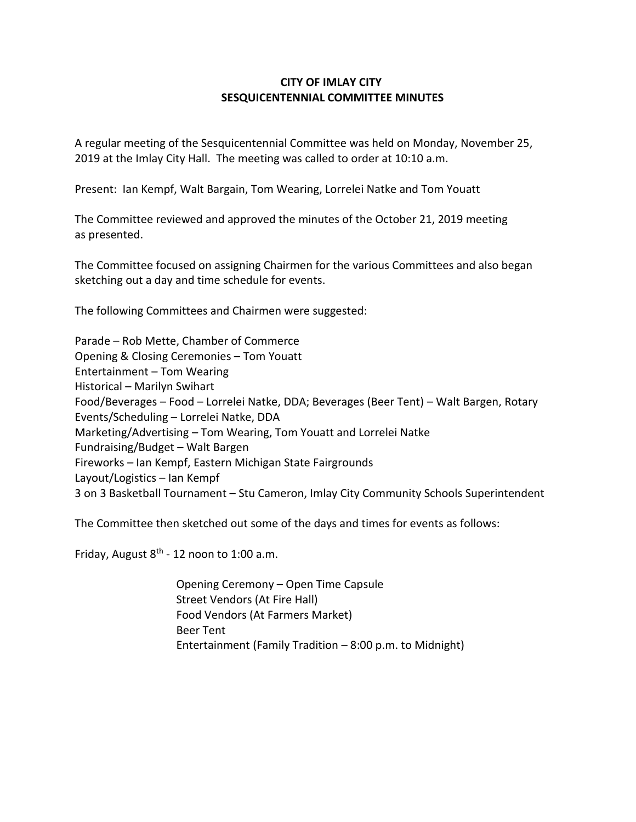## **CITY OF IMLAY CITY SESQUICENTENNIAL COMMITTEE MINUTES**

A regular meeting of the Sesquicentennial Committee was held on Monday, November 25, 2019 at the Imlay City Hall. The meeting was called to order at 10:10 a.m.

Present: Ian Kempf, Walt Bargain, Tom Wearing, Lorrelei Natke and Tom Youatt

The Committee reviewed and approved the minutes of the October 21, 2019 meeting as presented.

The Committee focused on assigning Chairmen for the various Committees and also began sketching out a day and time schedule for events.

The following Committees and Chairmen were suggested:

Parade – Rob Mette, Chamber of Commerce Opening & Closing Ceremonies – Tom Youatt Entertainment – Tom Wearing Historical – Marilyn Swihart Food/Beverages – Food – Lorrelei Natke, DDA; Beverages (Beer Tent) – Walt Bargen, Rotary Events/Scheduling – Lorrelei Natke, DDA Marketing/Advertising – Tom Wearing, Tom Youatt and Lorrelei Natke Fundraising/Budget – Walt Bargen Fireworks – Ian Kempf, Eastern Michigan State Fairgrounds Layout/Logistics – Ian Kempf 3 on 3 Basketball Tournament – Stu Cameron, Imlay City Community Schools Superintendent

The Committee then sketched out some of the days and times for events as follows:

Friday, August 8<sup>th</sup> - 12 noon to 1:00 a.m.

 Opening Ceremony – Open Time Capsule Street Vendors (At Fire Hall) Food Vendors (At Farmers Market) Beer Tent Entertainment (Family Tradition – 8:00 p.m. to Midnight)